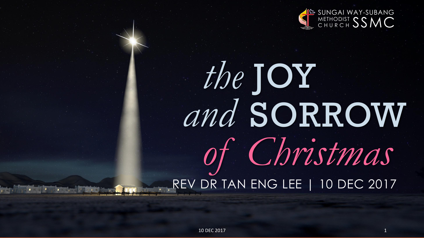

# REV DR TAN ENG LEE | 10 DEC 2017 *the* JOY *and* SORROW *of Christmas*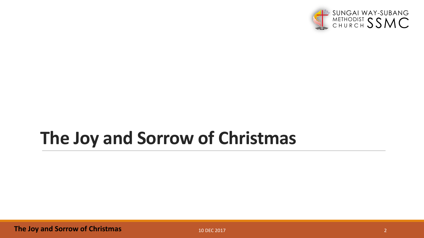

### **The Joy and Sorrow of Christmas**

**The Joy and Sorrow of Christmas**

10 DEC 2017 2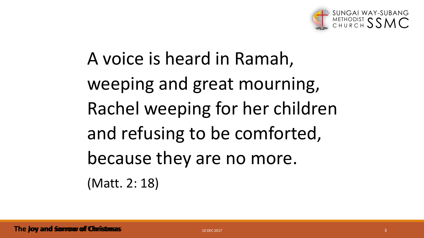

A voice is heard in Ramah, weeping and great mourning, Rachel weeping for her children and refusing to be comforted, because they are no more. (Matt. 2: 18)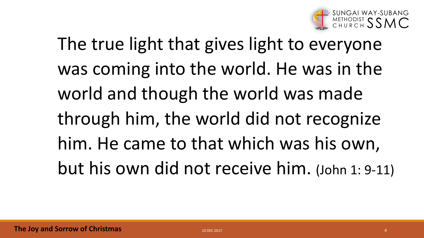

The true light that gives light to everyone was coming into the world. He was in the world and though the world was made through him, the world did not recognize him. He came to that which was his own, but his own did not receive him. (John 1: 9-11)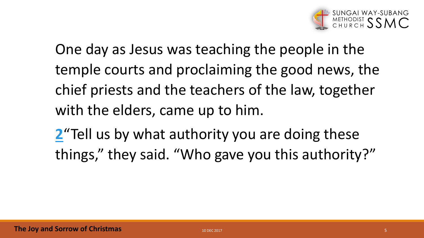

One day as Jesus was teaching the people in the temple courts and proclaiming the good news, the chief priests and the teachers of the law, together with the elders, came up to him.

**[2](http://biblehub.com/luke/20-2.htm)** Tell us by what authority you are doing these things," they said. "Who gave you this authority?"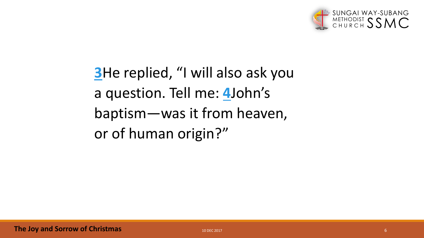

**[3](http://biblehub.com/luke/20-3.htm)**He replied, "I will also ask you a question. Tell me: **[4](http://biblehub.com/luke/20-4.htm)**John's baptism—was it from heaven, or of human origin?"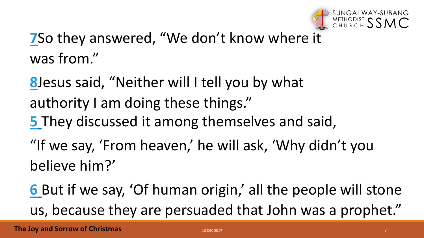

### **[7](http://biblehub.com/luke/20-7.htm)**So they answered, "We don't know where it was from."

**[8](http://biblehub.com/luke/20-8.htm)**Jesus said, "Neither will I tell you by what authority I am doing these things." **[5](http://biblehub.com/luke/20-5.htm)** They discussed it among themselves and said, "If we say, 'From heaven,' he will ask, 'Why didn't you believe him?'

**[6](http://biblehub.com/luke/20-6.htm)** But if we say, 'Of human origin,' all the people will stone us, because they are persuaded that John was a prophet."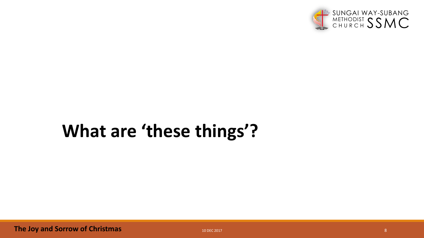

## **What are 'these things'?**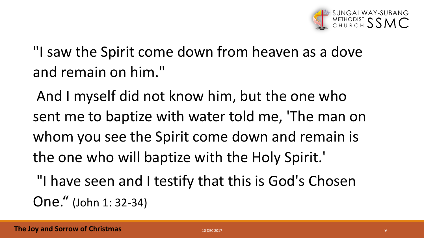

"I saw the Spirit come down from heaven as a dove and remain on him."

And I myself did not know him, but the one who sent me to baptize with water told me, 'The man on whom you see the Spirit come down and remain is the one who will baptize with the Holy Spirit.'

"I have seen and I testify that this is God's Chosen One." (John 1: 32-34)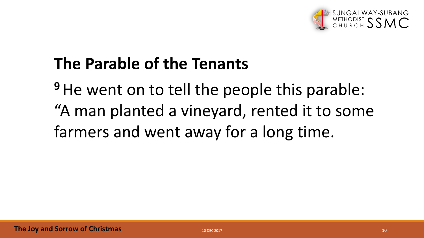

### **The Parable of the Tenants**

<sup>9</sup>He went on to tell the people this parable: "A man planted a vineyard, rented it to some farmers and went away for a long time.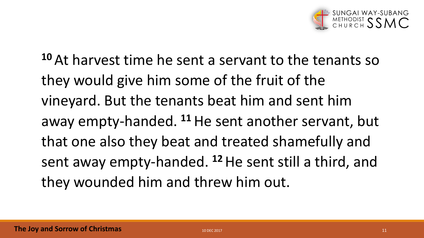

**<sup>10</sup>** At harvest time he sent a servant to the tenants so they would give him some of the fruit of the vineyard. But the tenants beat him and sent him away empty-handed. **<sup>11</sup>**He sent another servant, but that one also they beat and treated shamefully and sent away empty-handed. **<sup>12</sup>**He sent still a third, and they wounded him and threw him out.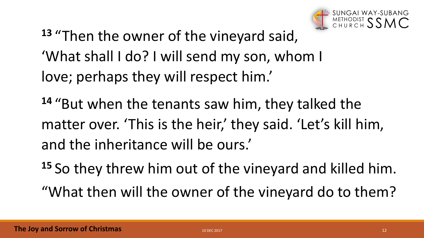

**<sup>13</sup>** "Then the owner of the vineyard said, 'What shall I do? I will send my son, whom I love; perhaps they will respect him.'

**<sup>14</sup>** "But when the tenants saw him, they talked the matter over. 'This is the heir,' they said. 'Let's kill him, and the inheritance will be ours.'

**<sup>15</sup>** So they threw him out of the vineyard and killed him.

"What then will the owner of the vineyard do to them?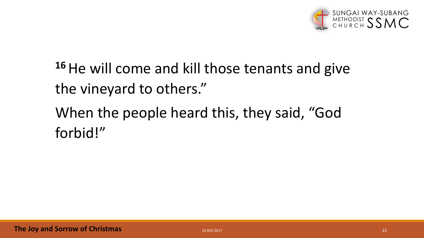

**<sup>16</sup>**He will come and kill those tenants and give the vineyard to others."

When the people heard this, they said, "God forbid!"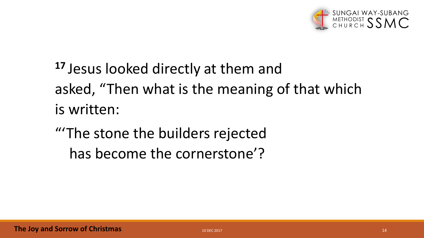

**<sup>17</sup>** Jesus looked directly at them and asked, "Then what is the meaning of that which is written:

"'The stone the builders rejected has become the cornerstone'?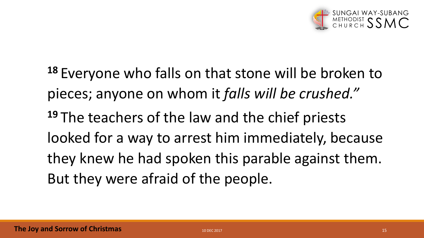

**<sup>18</sup>** Everyone who falls on that stone will be broken to pieces; anyone on whom it *falls will be crushed."* **<sup>19</sup>** The teachers of the law and the chief priests looked for a way to arrest him immediately, because they knew he had spoken this parable against them. But they were afraid of the people.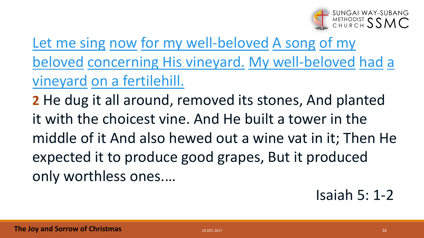

[Let me sing](http://biblehub.com/hebrew/7891.htm) [now](http://biblehub.com/hebrew/4994.htm) [for my well-beloved](http://biblehub.com/hebrew/3039.htm) [A song](http://biblehub.com/hebrew/7892b.htm) of my beloved [concerning His vineyard.](http://biblehub.com/hebrew/1730.htm) [My well-beloved](http://biblehub.com/hebrew/3039.htm) [had](http://biblehub.com/hebrew/1961.htm) a vineyard [on a fertilehill.](http://biblehub.com/hebrew/1121.htm)

**2** He dug it all around, removed its stones, And planted it with the choicest vine. And He built a tower in the middle of it And also hewed out a wine vat in it; Then He expected it to produce good grapes, But it produced only worthless ones.…

Isaiah 5: 1-2